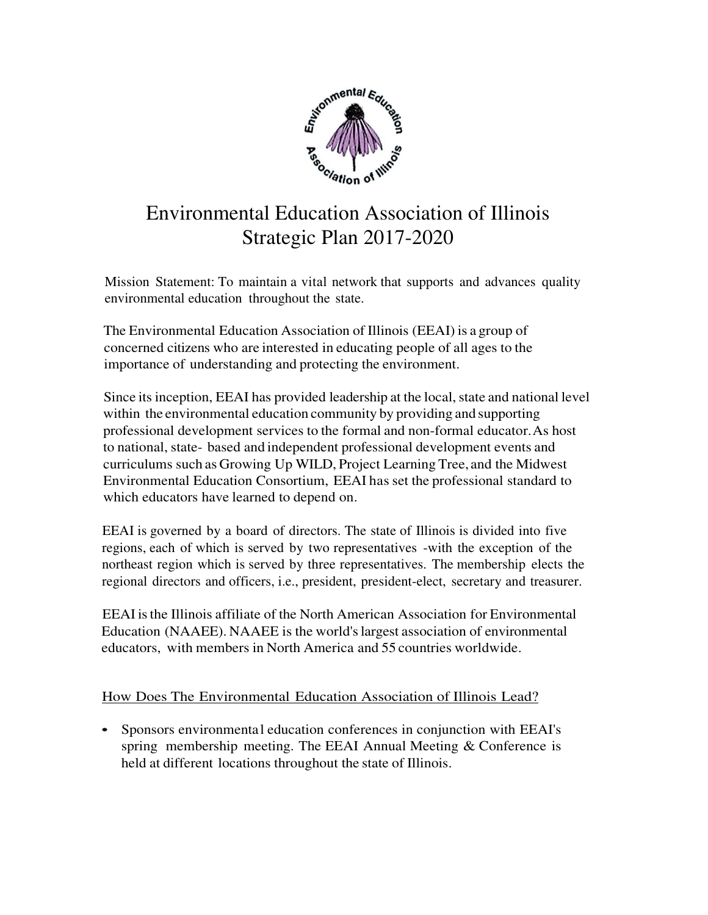

# Environmental Education Association of Illinois Strategic Plan 2017-2020

Mission Statement: To maintain a vital network that supports and advances quality environmental education throughout the state.

The Environmental Education Association of Illinois (EEAI) is a group of concerned citizens who are interested in educating people of all ages to the importance of understanding and protecting the environment.

Since its inception, EEAI has provided leadership at the local, state and national level within the environmental education community by providing and supporting professional development services to the formal and non-formal educator. As host to national, state- based and independent professional development events and curriculums such as Growing Up WILD, Project Learning Tree, and the Midwest Environmental Education Consortium, EEAI has set the professional standard to which educators have learned to depend on.

EEAI is governed by a board of directors. The state of Illinois is divided into five regions, each of which is served by two representatives -with the exception of the northeast region which is served by three representatives. The membership elects the regional directors and officers, i.e., president, president-elect, secretary and treasurer.

EEAI is the Illinois affiliate of the North American Association for Environmental Education (NAAEE). NAAEE is the world's largest association of environmental educators, with members in North America and 55 countries worldwide.

## How Does The Environmental Education Association of Illinois Lead?

• Sponsors environmental education conferences in conjunction with EEAI's spring membership meeting. The EEAI Annual Meeting & Conference is held at different locations throughout the state of Illinois.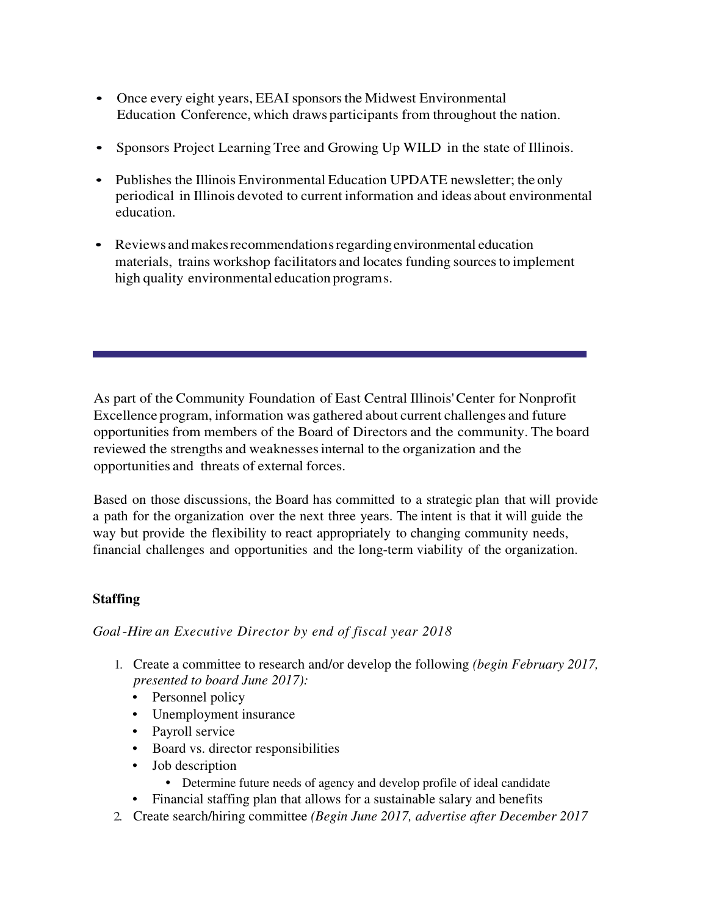- Once every eight years, EEAI sponsors the Midwest Environmental Education Conference, which draws participants from throughout the nation.
- Sponsors Project Learning Tree and Growing Up WILD in the state of Illinois.
- Publishes the Illinois Environmental Education UPDATE newsletter; the only periodical in Illinois devoted to current information and ideas about environmental education.
- Reviews and makes recommendation s regarding environmental education materials, trains workshop facilitators and locates funding sources to implement high quality environmental education programs.

As part of the Community Foundation of East Central Illinois' Center for Nonprofit Excellence program, information was gathered about current challenges and future opportunities from members of the Board of Directors and the community. The board reviewed the strengths and weaknesses internal to the organization and the opportunities and threats of external forces.

Based on those discussions, the Board has committed to a strategic plan that will provide a path for the organization over the next three years. The intent is that it will guide the way but provide the flexibility to react appropriately to changing community needs, financial challenges and opportunities and the long-term viability of the organization.

## **Staffing**

## *Goal* -*Hire an Executive Director by end of fiscal year 2018*

- 1. Create a committee to research and/or develop the following *(begin February 2017, presented to board June 2017):*
	- Personnel policy
	- Unemployment insurance
	- Payroll service
	- Board vs. director responsibilities
	- Job description
		- Determine future needs of agency and develop profile of ideal candidate
	- Financial staffing plan that allows for a sustainable salary and benefits
- 2. Create search/hiring committee *(Begin June 2017, advertise after December 2017*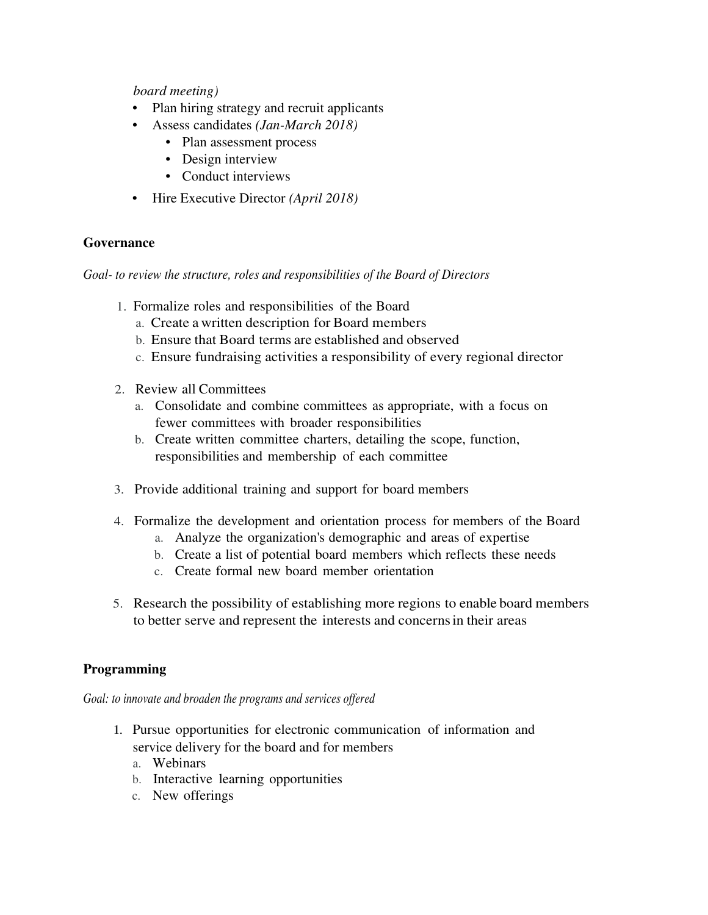*board meeting)*

- Plan hiring strategy and recruit applicants
- Assess candidates *(Jan-March 2018)*
	- Plan assessment process
	- Design interview
	- Conduct interviews
- Hire Executive Director *(April 2018)*

### **Governance**

*Goal- to review the structure, roles and responsibilities of the Board of Directors* 

- 1. Formalize roles and responsibilities of the Board
	- a. Create a written description for Board members
	- b. Ensure that Board terms are established and observed
	- c. Ensure fundraising activities a responsibility of every regional director
- 2. Review all Committees
	- a. Consolidate and combine committees as appropriate, with a focus on fewer committees with broader responsibilities
	- b. Create written committee charters, detailing the scope, function, responsibilities and membership of each committee
- 3. Provide additional training and support for board members
- 4. Formalize the development and orientation process for members of the Board
	- a. Analyze the organization's demographic and areas of expertise
	- b. Create a list of potential board members which reflects these needs
	- c. Create formal new board member orientation
- 5. Research the possibility of establishing more regions to enable board members to better serve and represent the interests and concerns in their areas

### **Programming**

*Goal: to innovate and broaden the programs and services offered* 

- 1. Pursue opportunities for electronic communication of information and service delivery for the board and for members
	- a. Webinars
	- b. Interactive learning opportunities
	- c. New offerings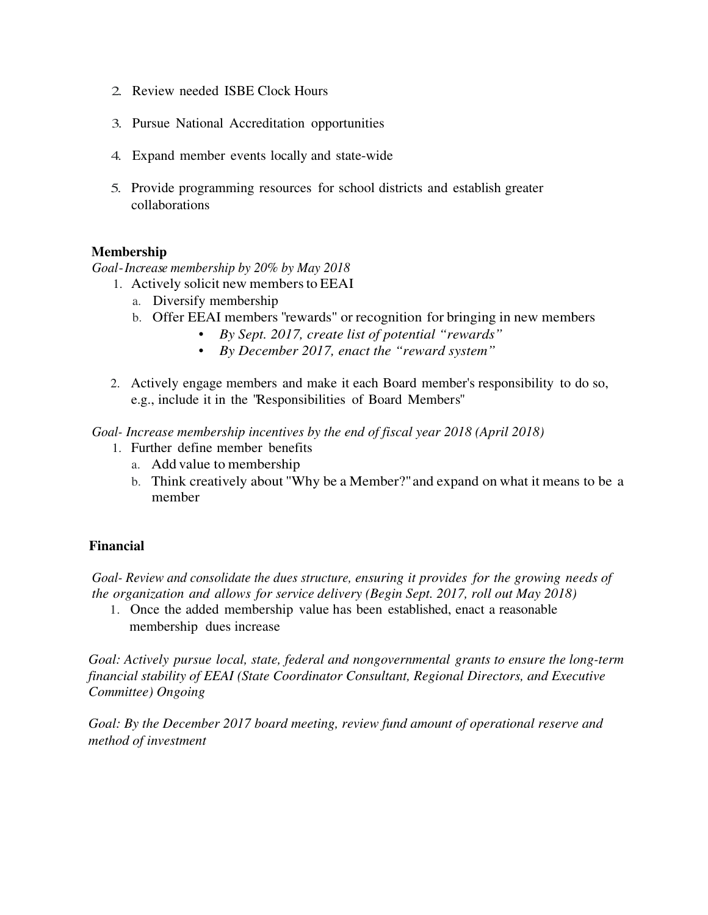- 2. Review needed ISBE Clock Hours
- 3. Pursue National Accreditation opportunities
- 4. Expand member events locally and state-wide
- 5. Provide programming resources for school districts and establish greater collaborations

#### **Membership**

*Goal*- *Increase membership by 20% by May 2018* 

- 1. Actively solicit new members to EEAI
	- a. Diversify membership
	- b. Offer EEAI members "rewards" or recognition for bringing in new members
		- *By Sept. 2017, create list of potential "rewards"*
		- *By December 2017, enact the "reward system"*
- 2. Actively engage members and make it each Board member's responsibility to do so, e.g., include it in the "Responsibilities of Board Members"

*Goal- Increase membership incentives by the end of fiscal year 2018 (April 2018)* 

- 1. Further define member benefits
	- a. Add value to membership
	- b. Think creatively about ''Why be a Member?" and expand on what it means to be a member

### **Financial**

*Goal- Review and consolidate the dues structure, ensuring it provides for the growing needs of the organization and allows for service delivery (Begin Sept. 2017, roll out May 2018)* 

1. Once the added membership value has been established, enact a reasonable membership dues increase

*Goal: Actively pursue local, state, federal and nongovernmental grants to ensure the long-term financial stability of EEAI (State Coordinator Consultant, Regional Directors, and Executive Committee) Ongoing* 

*Goal: By the December 2017 board meeting, review fund amount of operational reserve and method of investment*